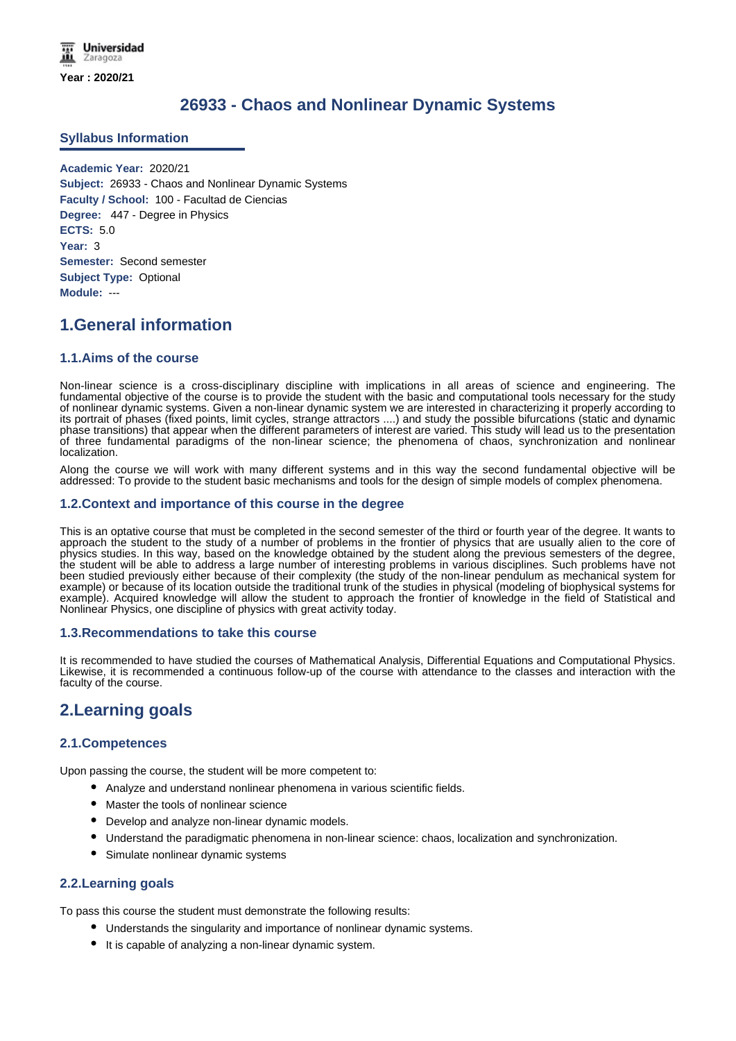### **26933 - Chaos and Nonlinear Dynamic Systems**

### **Syllabus Information**

**Academic Year:** 2020/21 **Subject:** 26933 - Chaos and Nonlinear Dynamic Systems **Faculty / School:** 100 - Facultad de Ciencias **Degree:** 447 - Degree in Physics **ECTS:** 5.0 **Year:** 3 **Semester:** Second semester **Subject Type:** Optional **Module:** ---

### **1.General information**

### **1.1.Aims of the course**

Non-linear science is a cross-disciplinary discipline with implications in all areas of science and engineering. The fundamental objective of the course is to provide the student with the basic and computational tools necessary for the study of nonlinear dynamic systems. Given a non-linear dynamic system we are interested in characterizing it properly according to its portrait of phases (fixed points, limit cycles, strange attractors ....) and study the possible bifurcations (static and dynamic phase transitions) that appear when the different parameters of interest are varied. This study will lead us to the presentation of three fundamental paradigms of the non-linear science; the phenomena of chaos, synchronization and nonlinear localization.

Along the course we will work with many different systems and in this way the second fundamental objective will be addressed: To provide to the student basic mechanisms and tools for the design of simple models of complex phenomena.

### **1.2.Context and importance of this course in the degree**

This is an optative course that must be completed in the second semester of the third or fourth year of the degree. It wants to approach the student to the study of a number of problems in the frontier of physics that are usually alien to the core of physics studies. In this way, based on the knowledge obtained by the student along the previous semesters of the degree, the student will be able to address a large number of interesting problems in various disciplines. Such problems have not been studied previously either because of their complexity (the study of the non-linear pendulum as mechanical system for example) or because of its location outside the traditional trunk of the studies in physical (modeling of biophysical systems for example). Acquired knowledge will allow the student to approach the frontier of knowledge in the field of Statistical and Nonlinear Physics, one discipline of physics with great activity today.

### **1.3.Recommendations to take this course**

It is recommended to have studied the courses of Mathematical Analysis, Differential Equations and Computational Physics. Likewise, it is recommended a continuous follow-up of the course with attendance to the classes and interaction with the faculty of the course.

# **2.Learning goals**

### **2.1.Competences**

Upon passing the course, the student will be more competent to:

- Analyze and understand nonlinear phenomena in various scientific fields.
- **Master the tools of nonlinear science**
- Develop and analyze non-linear dynamic models.
- Understand the paradigmatic phenomena in non-linear science: chaos, localization and synchronization.
- Simulate nonlinear dynamic systems

### **2.2.Learning goals**

To pass this course the student must demonstrate the following results:

- Understands the singularity and importance of nonlinear dynamic systems.
- It is capable of analyzing a non-linear dynamic system.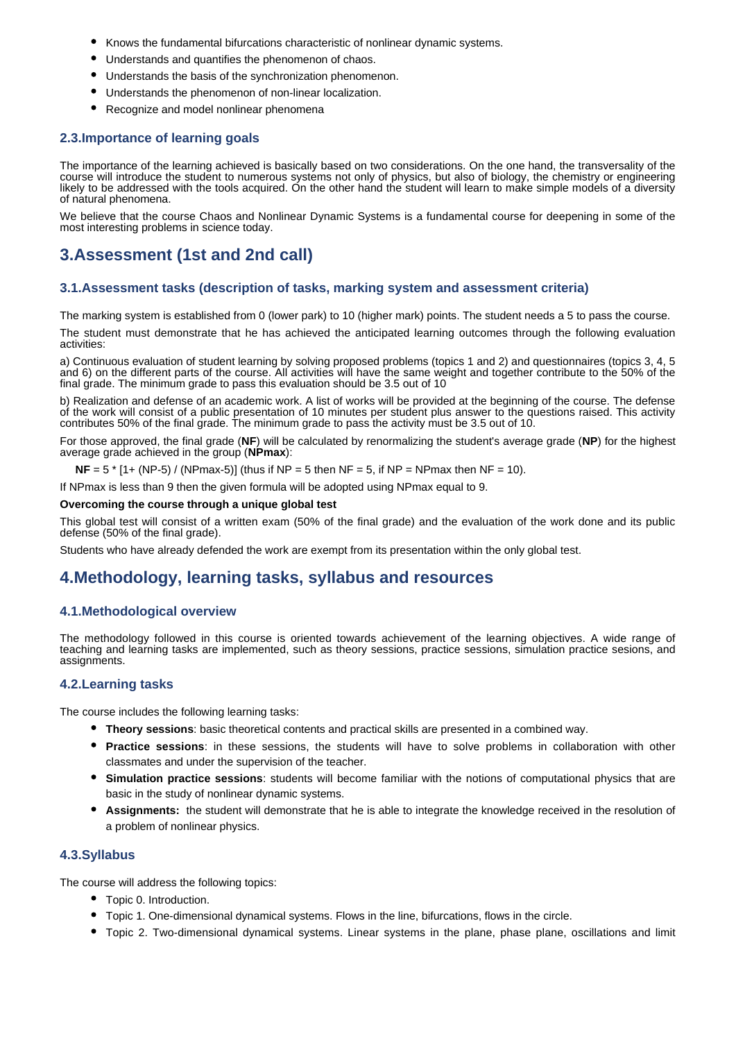- Knows the fundamental bifurcations characteristic of nonlinear dynamic systems.
- Understands and quantifies the phenomenon of chaos.
- Understands the basis of the synchronization phenomenon.
- Understands the phenomenon of non-linear localization.
- Recognize and model nonlinear phenomena

### **2.3.Importance of learning goals**

The importance of the learning achieved is basically based on two considerations. On the one hand, the transversality of the course will introduce the student to numerous systems not only of physics, but also of biology, the chemistry or engineering likely to be addressed with the tools acquired. On the other hand the student will learn to make simple models of a diversity of natural phenomena.

We believe that the course Chaos and Nonlinear Dynamic Systems is a fundamental course for deepening in some of the most interesting problems in science today.

# **3.Assessment (1st and 2nd call)**

### **3.1.Assessment tasks (description of tasks, marking system and assessment criteria)**

The marking system is established from 0 (lower park) to 10 (higher mark) points. The student needs a 5 to pass the course.

The student must demonstrate that he has achieved the anticipated learning outcomes through the following evaluation activities:

a) Continuous evaluation of student learning by solving proposed problems (topics 1 and 2) and questionnaires (topics 3, 4, 5 and 6) on the different parts of the course. All activities will have the same weight and together contribute to the 50% of the final grade. The minimum grade to pass this evaluation should be 3.5 out of 10

b) Realization and defense of an academic work. A list of works will be provided at the beginning of the course. The defense of the work will consist of a public presentation of 10 minutes per student plus answer to the questions raised. This activity contributes 50% of the final grade. The minimum grade to pass the activity must be 3.5 out of 10.

For those approved, the final grade (**NF**) will be calculated by renormalizing the student's average grade (**NP**) for the highest average grade achieved in the group (**NPmax**):

**NF** =  $5$  \* [1+ (NP-5) / (NPmax-5)] (thus if NP =  $5$  then NF =  $5$ , if NP = NPmax then NF = 10).

If NPmax is less than 9 then the given formula will be adopted using NPmax equal to 9.

#### **Overcoming the course through a unique global test**

This global test will consist of a written exam (50% of the final grade) and the evaluation of the work done and its public defense (50% of the final grade).

Students who have already defended the work are exempt from its presentation within the only global test.

### **4.Methodology, learning tasks, syllabus and resources**

### **4.1.Methodological overview**

The methodology followed in this course is oriented towards achievement of the learning objectives. A wide range of teaching and learning tasks are implemented, such as theory sessions, practice sessions, simulation practice sesions, and assignments.

### **4.2.Learning tasks**

The course includes the following learning tasks:

- **Theory sessions**: basic theoretical contents and practical skills are presented in a combined way.
- **Practice sessions**: in these sessions, the students will have to solve problems in collaboration with other classmates and under the supervision of the teacher.
- **Simulation practice sessions**: students will become familiar with the notions of computational physics that are basic in the study of nonlinear dynamic systems.
- **Assignments:** the student will demonstrate that he is able to integrate the knowledge received in the resolution of a problem of nonlinear physics.

### **4.3.Syllabus**

The course will address the following topics:

- Topic 0. Introduction.
- Topic 1. One-dimensional dynamical systems. Flows in the line, bifurcations, flows in the circle.
- Topic 2. Two-dimensional dynamical systems. Linear systems in the plane, phase plane, oscillations and limit